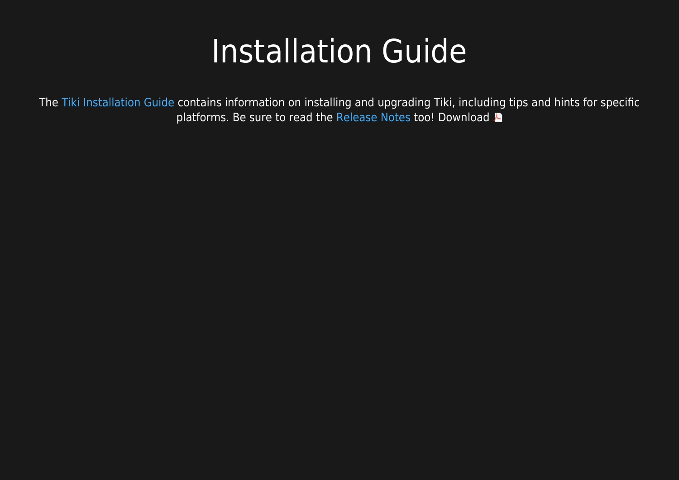## Installation Guide

The [Tiki Installation Guide](https://doc.tiki.org/Tiki-Installation-Guide) contains information on installing and upgrading Tiki, including tips and hints for specific platforms. Be sure to read the [Release Notes](https://doc.tiki.org/Release-Notes)too! Download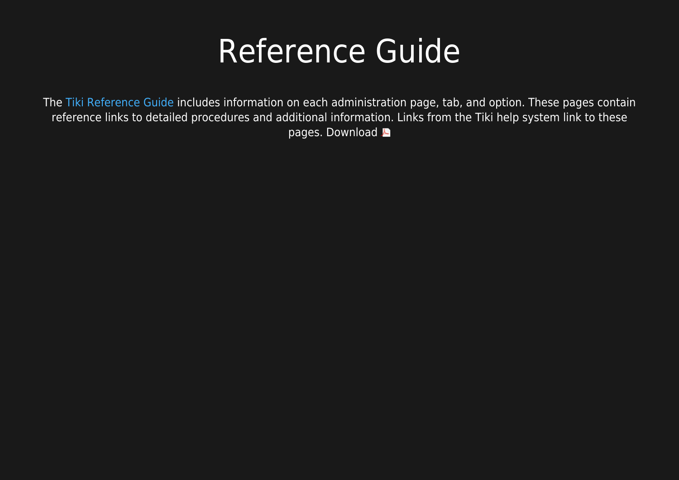## Reference Guide

The [Tiki Reference Guide](https://doc.tiki.org/Tiki-Reference-Guide) includes information on each administration page, tab, and option. These pages contain reference links to detailed procedures and additional information. Links from the Tiki help system link to these pages.Download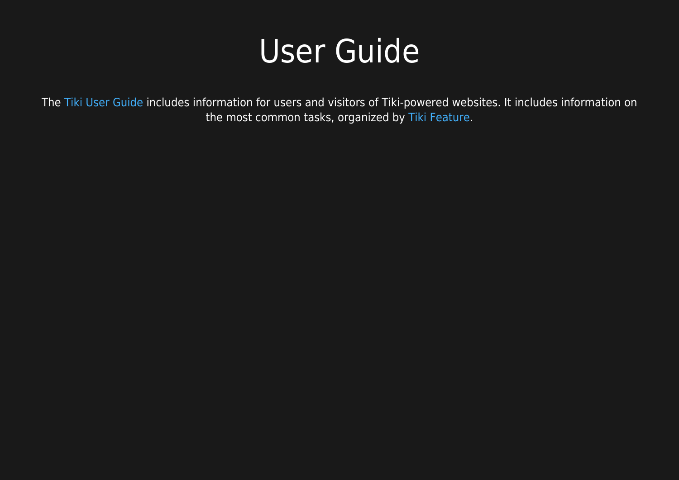## User Guide

The [Tiki User Guide](https://doc.tiki.org/Tiki-User-Guide) includes information for users and visitors of Tiki-powered websites. It includes information on the most common tasks, organized by [Tiki Feature.](https://doc.tiki.org/All-Features)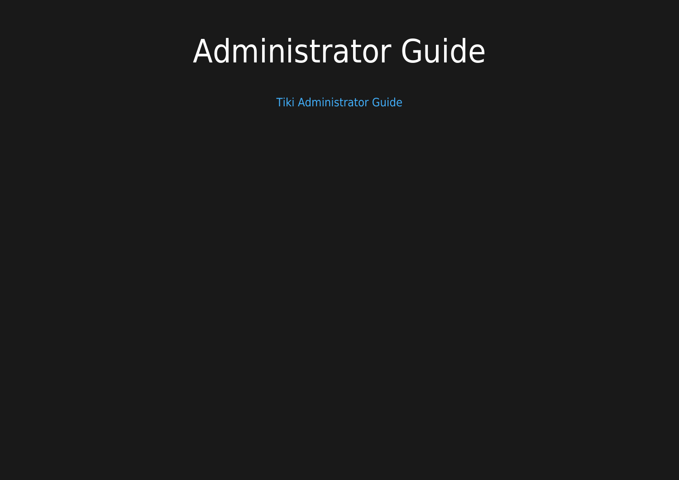# Administrator Guide

[Tiki Administrator Guide](https://doc.tiki.org/Tiki-Administrator-Guide)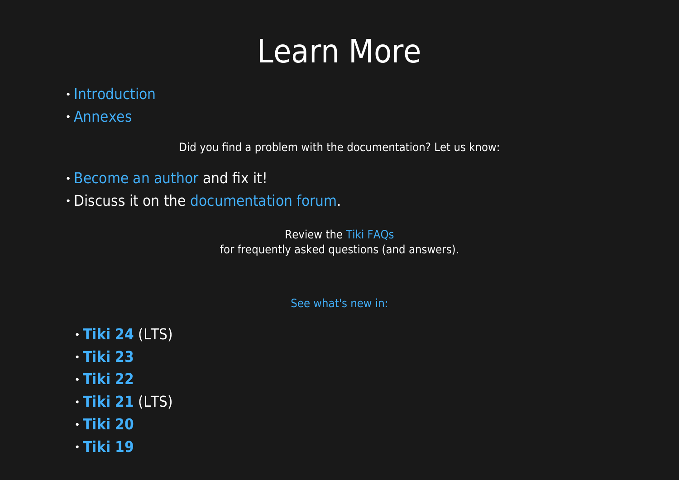# Learn More

- · [Introduction](https://doc.tiki.org/Introduction)
- [Annexes](https://doc.tiki.org/Annexes)

Did you find a problem with the documentation? Let us know:

- [Become an author](https://doc.tiki.org/Welcome-Authors) and fix it!
- Discuss it on the [documentation forum.](http://tiki.org/tiki-view_forum.php?forumId=2)

Review the [Tiki FAQs](https://doc.tiki.org/Tiki-FAQs) for frequently asked questions (and answers).

[See what's new in:](https://doc.tiki.org/New-in-version)

- **[Tiki 24](https://doc.tiki.org/Tiki24)** (LTS)
- **[Tiki 23](https://doc.tiki.org/Tiki23)**
- **[Tiki 22](https://doc.tiki.org/Tiki22)**
- **[Tiki 21](https://doc.tiki.org/Tiki21)** (LTS)
- **[Tiki 20](https://doc.tiki.org/Tiki20)**
- **[Tiki 19](https://doc.tiki.org/Tiki19)**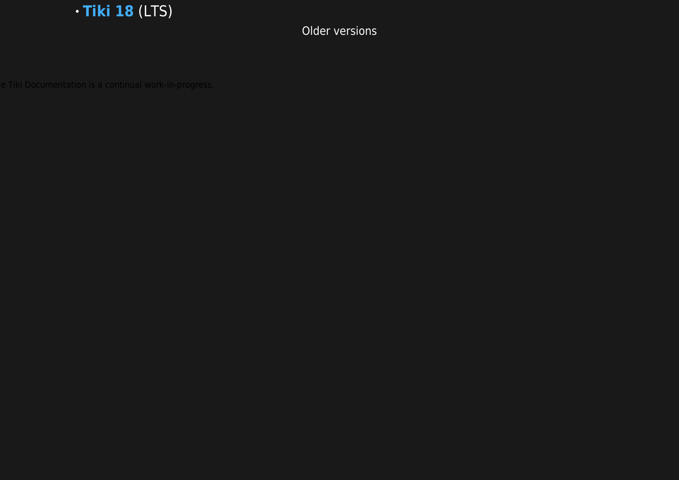

Older versions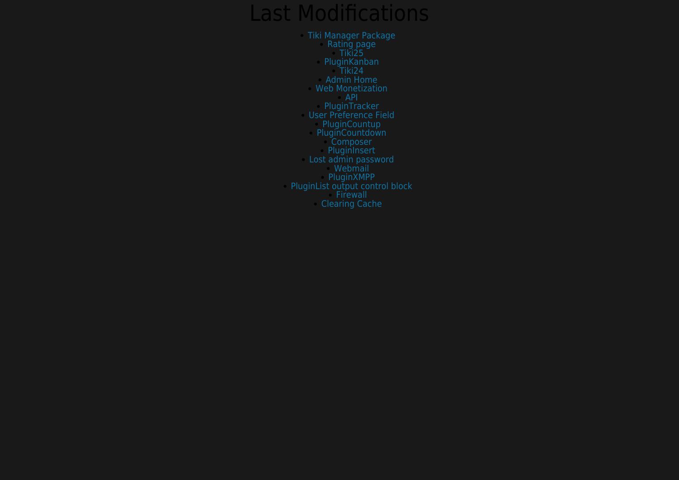### Last Modifications

[Tiki Manager Package](https://doc.tiki.org/Tiki-Manager-Package) [Rating page](https://doc.tiki.org/Calculations) [Tiki25](https://doc.tiki.org/Tiki25) [PluginKanban](https://doc.tiki.org/PluginKanban) [Tiki24](https://doc.tiki.org/Tiki24) [Admin Home](https://doc.tiki.org/Admin-Home) [Web Monetization](https://doc.tiki.org/Web-Monetization) [API](https://doc.tiki.org/API) [PluginTracker](https://doc.tiki.org/PluginTracker) [User Preference Field](https://doc.tiki.org/User-Preference-Field) [PluginCountup](https://doc.tiki.org/PluginCountup) [PluginCountdown](https://doc.tiki.org/PluginCountdown) [Composer](https://doc.tiki.org/Composer) [PluginInsert](https://doc.tiki.org/PluginInsert) [Lost admin password](https://doc.tiki.org/Lost-admin-password) [Webmail](https://doc.tiki.org/Webmail) [PluginXMPP](https://doc.tiki.org/PluginXMPP) [PluginList output control block](https://doc.tiki.org/PluginList-output-control-block)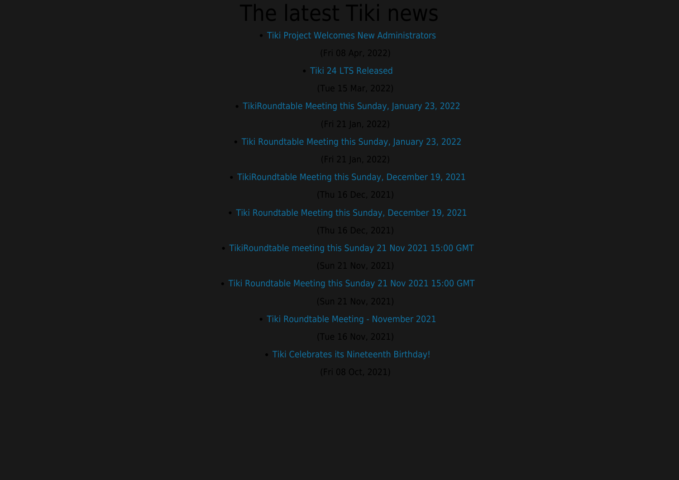### The latest Tiki news

[Tiki Project Welcomes New Administrators](https://tiki.org/article489-Tiki-Project-Welcomes-New-Administrators)

#### (Tue 15 Mar, 2022)

[TikiRoundtable Meeting this Sunday, January 23, 2022](https://tiki.org/article487-TikiRoundtable-Meeting-this-Sunday-January-23-2022)

(Fri 21 Jan, 2022)

[Tiki Roundtable Meeting this Sunday, January 23, 2022](https://tiki.org/article487-Tiki-Roundtable-Meeting-this-Sunday-January-23-2022)

(Fri 21 Jan, 2022)

[TikiRoundtable Meeting this Sunday, December 19, 2021](https://tiki.org/article486-TikiRoundtable-Meeting-this-Sunday-December-19-2021)

[Tiki Roundtable Meeting this Sunday, December 19, 2021](https://tiki.org/article486-Tiki-Roundtable-Meeting-this-Sunday-December-19-2021)

[TikiRoundtable meeting this Sunday 21 Nov 2021 15:00 GMT](https://tiki.org/article485-TikiRoundtable-meeting-this-Sunday-21-Nov-2021-15-00-GMT)

(Sun 21 Nov, 2021)

[Tiki Roundtable Meeting this Sunday 21 Nov 2021 15:00 GMT](https://tiki.org/article485-Tiki-Roundtable-Meeting-this-Sunday-21-Nov-2021-15-00-GMT)

(Sun 21 Nov, 2021)

[Tiki Roundtable Meeting - November 2021](https://tiki.org/article484-Tiki-Roundtable-Meeting-November-2021)

(Tue 16 Nov, 2021)

[Tiki Celebrates its Nineteenth Birthday!](https://tiki.org/article483-Tiki-Celebrates-its-Nineteenth-Birthday)

(Fri 08 Oct, 2021)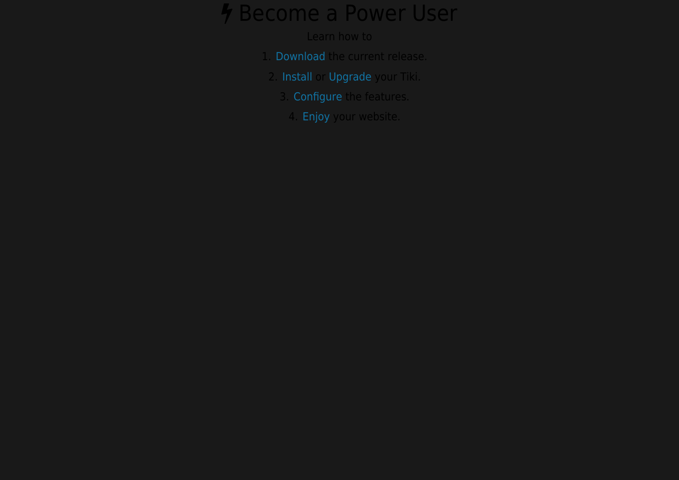### *A* Become a Power User

### Learn how to

- 1. [Download](https://doc.tiki.org/Download) the current release.
- 2. [Install](https://doc.tiki.org/Tiki-Installation-Guide) or [Upgrade](https://doc.tiki.org/Upgrade) your Tiki.
	- 3. [Configure](https://doc.tiki.org/Tiki-Administrator-Guide) the features.
	- 4. [Enjoy](https://doc.tiki.org/Tiki-User-Guide) your website.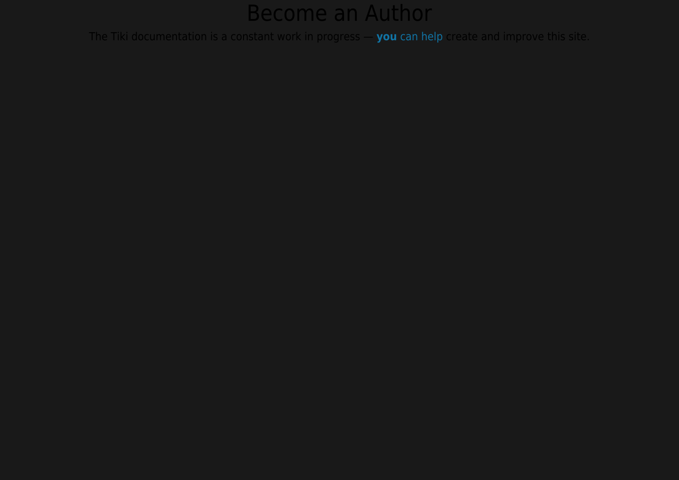### Become an Author

The Tiki documentation is a constant work in progress — **[you](https://doc.tiki.org/Welcome-Authors)** [can help](https://doc.tiki.org/Welcome-Authors) create and improve this site.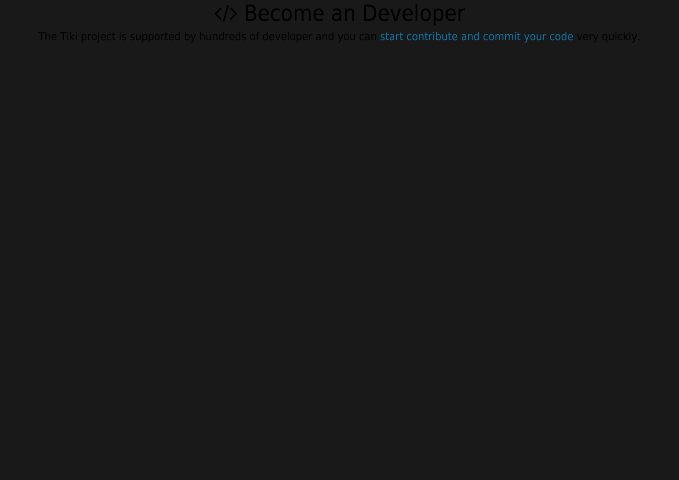### </>Become an Developer

The Tiki project is supported by hundreds of developer and you can [start contribute and commit your code](https://dev.tiki.org/TikiDevNewbie) very quickly.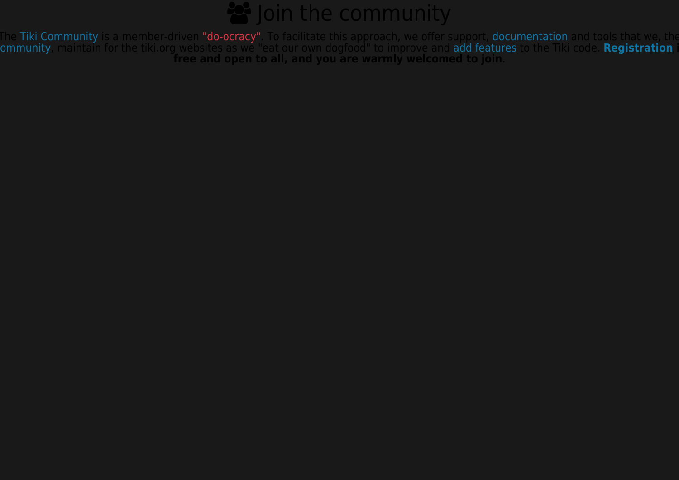## **B** Join the community

The **Tiki Community** is a member-driven **["do-ocracy"](https://doc.tiki.org/tiki-editpage.php?page=Model)**. To facilitate this approach, we offer support, **documentation** and tools that we, the **ommunity**, maintain for the tiki.org websites as we "eat our own dogfood" to improve and **add features** to the Tiki code. **Registration** i **free and open to all, and you are warmly welcomed to join**.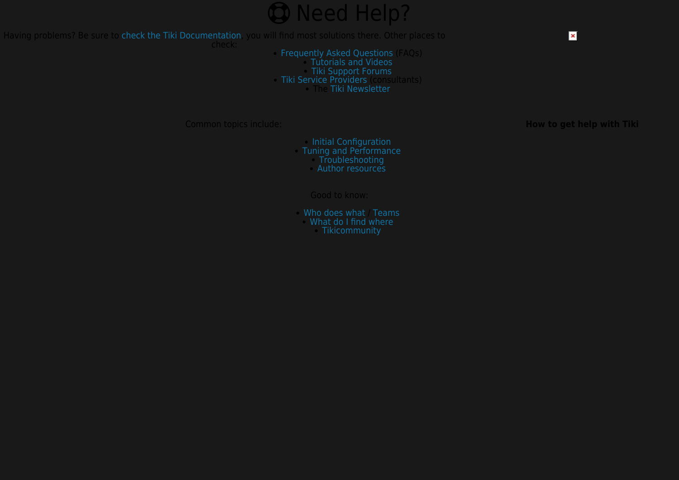

Having problems? Be sure to [check the Tiki Documentation](https://doc.tiki.org/All-the-Documentation), you will find most solutions there. Other places to

- [Frequently Asked Questions](https://doc.tiki.org/Tiki-FAQs) (FAQs)
	- [Tutorials and Videos](https://doc.tiki.org/Tutorials)
	- [Tiki Support Forums](http://tiki.org/forums)
- [Tiki Service Providers](http://info.tiki.org/Consultants) (consultants)
	- The [Tiki Newsletter](http://tiki.org/Newsletter)

[Initial Configuration](https://doc.tiki.org/Initial-Configuration) [Tuning and Performance](https://doc.tiki.org/Tuning-Tiki) [Troubleshooting](https://doc.tiki.org/Troubleshooting) [Author resources](https://doc.tiki.org/Welcome-Authors)

[Who does what](http://tiki.org/WhoWhat) / [Teams](http://tiki.org/Teams) [What do I find where](http://tiki.org/Where)

**Common topics include: How to get help with Tiki** 

 $\pmb{\times}$